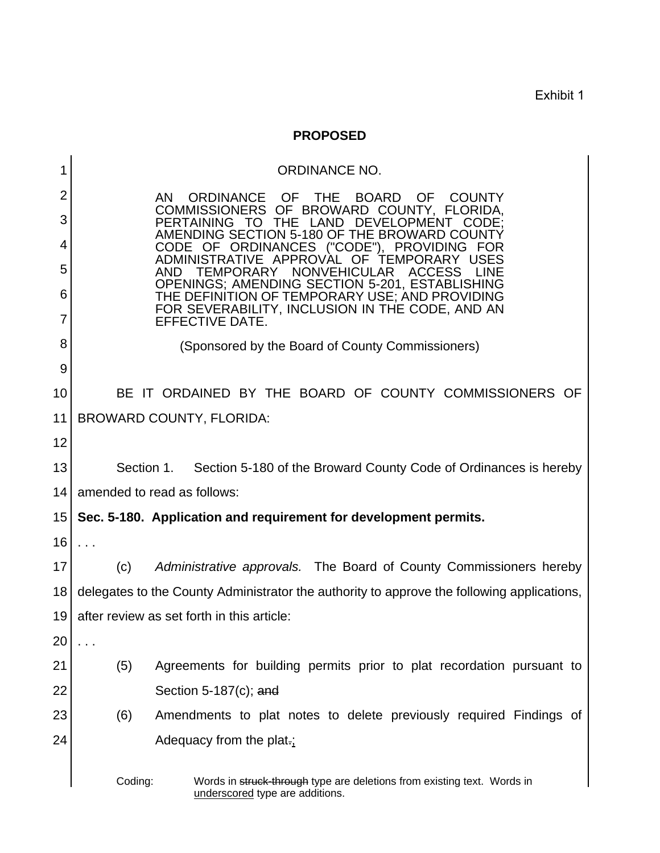Exhibit 1

## **PROPOSED**

| 1      |                                                                                                                          | <b>ORDINANCE NO.</b>                                                                                                                      |  |
|--------|--------------------------------------------------------------------------------------------------------------------------|-------------------------------------------------------------------------------------------------------------------------------------------|--|
| 2      |                                                                                                                          | <b>ORDINANCE</b><br>OF OF<br>AN.<br><b>THE</b><br><b>BOARD</b><br><b>OF</b><br><b>COUNTY</b><br>COMMISSIONERS OF BROWARD COUNTY, FLORIDA, |  |
| 3      | <b>PERTAINING</b><br>THE<br>LAND<br><b>DEVELOPMENT</b><br>CODE:<br>- I O<br>AMENDING SECTION 5-180 OF THE BROWARD COUNTY |                                                                                                                                           |  |
| 4      | ORDINANCES ("CODE"), PROVIDING<br>CODE OF<br>APPROVAL<br>- OF<br>ADMINISTRATIVE<br>TEMPORA                               |                                                                                                                                           |  |
| 5      | NONVEHICULAR<br><b>TEMPORARY</b><br><b>ACCESS</b><br>AND.<br>OPENINGS; AMENDING SECTION 5-201, ESTABLISHING              |                                                                                                                                           |  |
| 6<br>7 | THE DEFINITION OF TEMPORARY USE; AND PROVIDING<br>FOR SEVERABILITY, INCLUSION IN THE CODE, AND AN<br>EFFECTIVE DATE.     |                                                                                                                                           |  |
| 8      | (Sponsored by the Board of County Commissioners)                                                                         |                                                                                                                                           |  |
| 9      |                                                                                                                          |                                                                                                                                           |  |
| 10     | BE IT ORDAINED BY THE BOARD OF COUNTY COMMISSIONERS OF                                                                   |                                                                                                                                           |  |
| 11     | <b>BROWARD COUNTY, FLORIDA:</b>                                                                                          |                                                                                                                                           |  |
| 12     |                                                                                                                          |                                                                                                                                           |  |
| 13     |                                                                                                                          | Section 1. Section 5-180 of the Broward County Code of Ordinances is hereby                                                               |  |
| 14     | amended to read as follows:                                                                                              |                                                                                                                                           |  |
| 15     |                                                                                                                          | Sec. 5-180. Application and requirement for development permits.                                                                          |  |
| 16     | $\cdots$                                                                                                                 |                                                                                                                                           |  |
| 17     | (c)                                                                                                                      | Administrative approvals. The Board of County Commissioners hereby                                                                        |  |
| 18     | delegates to the County Administrator the authority to approve the following applications,                               |                                                                                                                                           |  |
| 19     | after review as set forth in this article:                                                                               |                                                                                                                                           |  |
| 20     |                                                                                                                          |                                                                                                                                           |  |
| 21     | (5)                                                                                                                      | Agreements for building permits prior to plat recordation pursuant to                                                                     |  |
| 22     |                                                                                                                          | Section $5-187(c)$ ; and                                                                                                                  |  |
| 23     | (6)                                                                                                                      | Amendments to plat notes to delete previously required Findings of                                                                        |  |
| 24     |                                                                                                                          | Adequacy from the plat-:                                                                                                                  |  |
|        | Coding:<br>Words in struck-through type are deletions from existing text. Words in<br>underscored type are additions.    |                                                                                                                                           |  |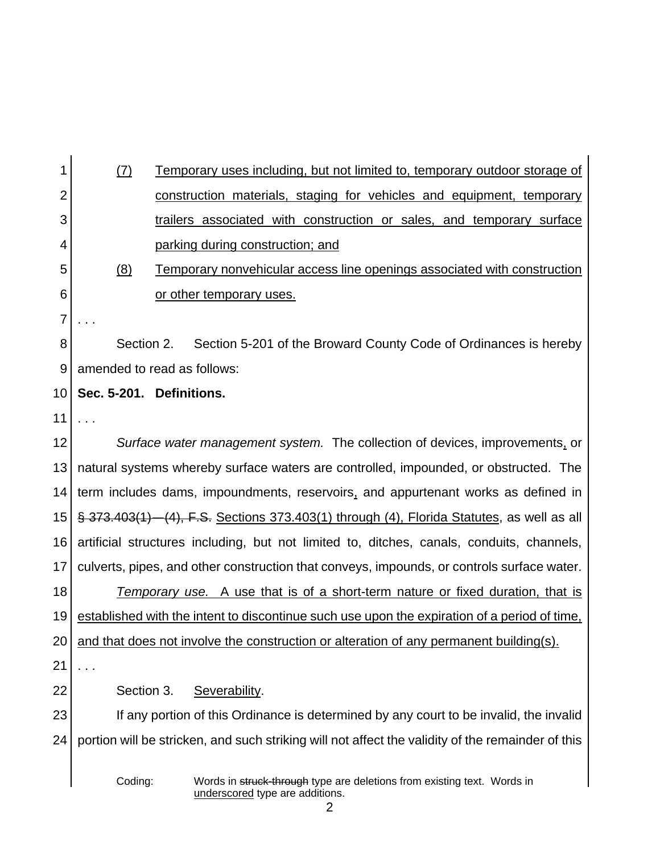| 1              | (7)                                                                                               | <u>Temporary uses including, but not limited to, temporary outdoor storage of</u>                          |  |
|----------------|---------------------------------------------------------------------------------------------------|------------------------------------------------------------------------------------------------------------|--|
| $\overline{2}$ |                                                                                                   | construction materials, staging for vehicles and equipment, temporary                                      |  |
| 3              |                                                                                                   | trailers associated with construction or sales, and temporary surface                                      |  |
| 4              |                                                                                                   | parking during construction; and                                                                           |  |
| 5              | (8)                                                                                               | Temporary nonvehicular access line openings associated with construction                                   |  |
| 6              |                                                                                                   | <u>or other temporary uses.</u>                                                                            |  |
| 7              |                                                                                                   |                                                                                                            |  |
| 8              | Section 2.                                                                                        | Section 5-201 of the Broward County Code of Ordinances is hereby                                           |  |
| 9              | amended to read as follows:                                                                       |                                                                                                            |  |
| 10             |                                                                                                   | Sec. 5-201. Definitions.                                                                                   |  |
| 11             |                                                                                                   |                                                                                                            |  |
| 12             | Surface water management system. The collection of devices, improvements, or                      |                                                                                                            |  |
| 13             | natural systems whereby surface waters are controlled, impounded, or obstructed. The              |                                                                                                            |  |
| 14             | term includes dams, impoundments, reservoirs, and appurtenant works as defined in                 |                                                                                                            |  |
| 15             | § 373.403(1) - (4), F.S. Sections 373.403(1) through (4), Florida Statutes, as well as all        |                                                                                                            |  |
| 16             | artificial structures including, but not limited to, ditches, canals, conduits, channels,         |                                                                                                            |  |
| 17             | culverts, pipes, and other construction that conveys, impounds, or controls surface water.        |                                                                                                            |  |
| 18             | Temporary use. A use that is of a short-term nature or fixed duration, that is                    |                                                                                                            |  |
| 19             | established with the intent to discontinue such use upon the expiration of a period of time,      |                                                                                                            |  |
| 20             | and that does not involve the construction or alteration of any permanent building(s).            |                                                                                                            |  |
| 21             | .                                                                                                 |                                                                                                            |  |
| 22             | Section 3.                                                                                        | Severability.                                                                                              |  |
| 23             | If any portion of this Ordinance is determined by any court to be invalid, the invalid            |                                                                                                            |  |
| 24             | portion will be stricken, and such striking will not affect the validity of the remainder of this |                                                                                                            |  |
|                | Coding:                                                                                           | Words in struck-through type are deletions from existing text. Words in<br>underscored type are additions. |  |